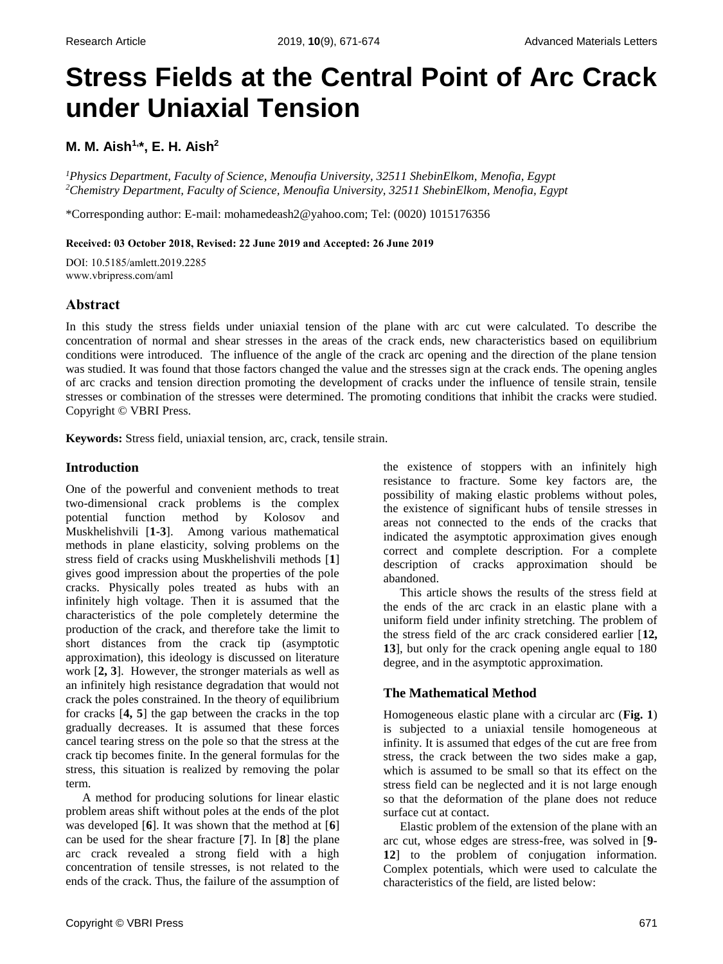# **Stress Fields at the Central Point of Arc Crack under Uniaxial Tension**

**M. M. Aish1, \*, E. H. Aish<sup>2</sup>**

*<sup>1</sup>Physics Department, Faculty of Science, Menoufia University, 32511 ShebinElkom, Menofia, Egypt <sup>2</sup>Chemistry Department, Faculty of Science, Menoufia University, 32511 ShebinElkom, Menofia, Egypt*

\*Corresponding author: E-mail: mohamedeash2@yahoo.com; Tel: (0020) 1015176356

## **Received: 03 October 2018, Revised: 22 June 2019 and Accepted: 26 June 2019**

DOI: 10.5185/amlett.2019.2285 www.vbripress.com/aml

# **Abstract**

In this study the stress fields under uniaxial tension of the plane with arc cut were calculated. To describe the concentration of normal and shear stresses in the areas of the crack ends, new characteristics based on equilibrium conditions were introduced. The influence of the angle of the crack arc opening and the direction of the plane tension was studied. It was found that those factors changed the value and the stresses sign at the crack ends. The opening angles of arc cracks and tension direction promoting the development of cracks under the influence of tensile strain, tensile stresses or combination of the stresses were determined. The promoting conditions that inhibit the cracks were studied. Copyright © VBRI Press.

**Keywords:** Stress field, uniaxial tension, arc, crack, tensile strain.

# **Introduction**

One of the powerful and convenient methods to treat two-dimensional crack problems is the complex potential function method by Kolosov and Muskhelishvili [**1-3**]. Among various mathematical methods in plane elasticity, solving problems on the stress field of cracks using Muskhelishvili methods [**1**] gives good impression about the properties of the pole cracks. Physically poles treated as hubs with an infinitely high voltage. Then it is assumed that the characteristics of the pole completely determine the production of the crack, and therefore take the limit to short distances from the crack tip (asymptotic approximation), this ideology is discussed on literature work [**2, 3**]. However, the stronger materials as well as an infinitely high resistance degradation that would not crack the poles constrained. In the theory of equilibrium for cracks [**4, 5**] the gap between the cracks in the top gradually decreases. It is assumed that these forces cancel tearing stress on the pole so that the stress at the crack tip becomes finite. In the general formulas for the stress, this situation is realized by removing the polar term.

A method for producing solutions for linear elastic problem areas shift without poles at the ends of the plot was developed [**6**]. It was shown that the method at [**6**] can be used for the shear fracture [**7**]. In [**8**] the plane arc crack revealed a strong field with a high concentration of tensile stresses, is not related to the ends of the crack. Thus, the failure of the assumption of resistance to fracture. Some key factors are, the possibility of making elastic problems without poles, the existence of significant hubs of tensile stresses in areas not connected to the ends of the cracks that indicated the asymptotic approximation gives enough correct and complete description. For a complete description of cracks approximation should be abandoned. This article shows the results of the stress field at

the existence of stoppers with an infinitely high

the ends of the arc crack in an elastic plane with a uniform field under infinity stretching. The problem of the stress field of the arc crack considered earlier [**12, 13**], but only for the crack opening angle equal to 180 degree, and in the asymptotic approximation.

# **The Mathematical Method**

Homogeneous elastic plane with a circular arc (**Fig. 1**) is subjected to a uniaxial tensile homogeneous at infinity. It is assumed that edges of the cut are free from stress, the crack between the two sides make a gap, which is assumed to be small so that its effect on the stress field can be neglected and it is not large enough so that the deformation of the plane does not reduce surface cut at contact.

Elastic problem of the extension of the plane with an arc cut, whose edges are stress-free, was solved in [**9- 12**] to the problem of conjugation information. Complex potentials, which were used to calculate the characteristics of the field, are listed below: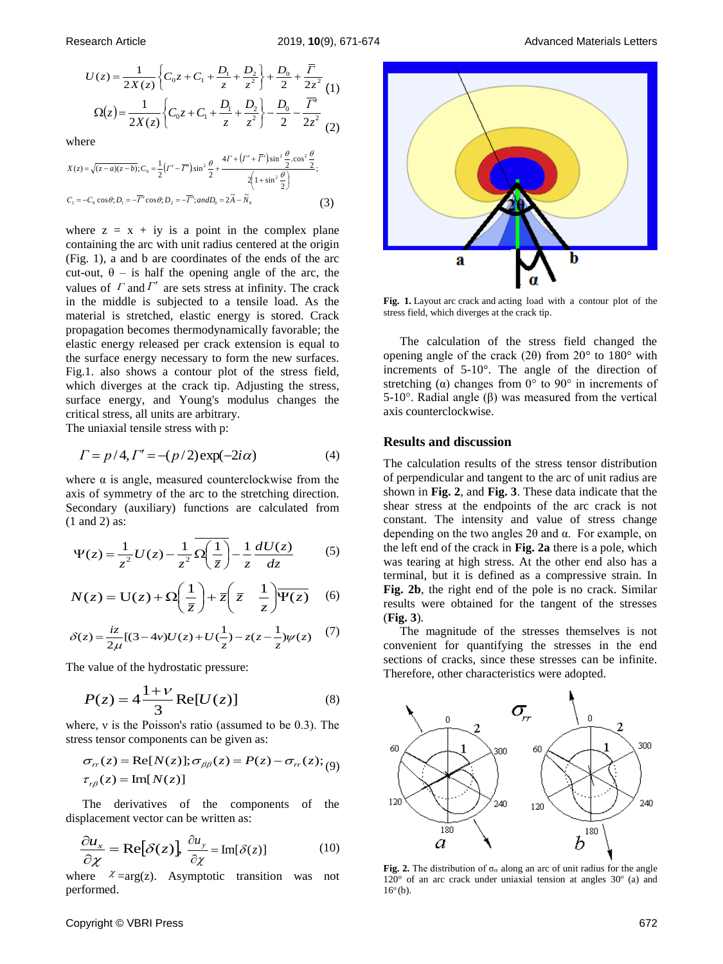$$
U(z) = \frac{1}{2X(z)} \left\{ C_0 z + C_1 + \frac{D_1}{z} + \frac{D_2}{z^2} \right\} + \frac{D_0}{2} + \frac{\overline{\Gamma}}{2z^2} \tag{1}
$$

$$
\Omega(z) = \frac{1}{2X(z)} \left\{ C_0 z + C_1 + \frac{D_1}{z} + \frac{D_2}{z^2} \right\} - \frac{D_0}{2} - \frac{\overline{\Gamma}'}{2z^2} \tag{2}
$$

where

$$
X(z) = \sqrt{(z-a)(z-b)}; C_0 = \frac{1}{2} (r' - \overline{r'}) \sin^2 \frac{\theta}{2} + \frac{4\Gamma + (r' + \overline{r'}) \sin^2 \frac{\theta}{2} \cdot \cos^2 \frac{\theta}{2}}{2 \left(1 + \sin^2 \frac{\theta}{2}\right)};
$$
  
\n
$$
C_1 = -C_0 \cos \theta; D_1 = -\overline{r'} \cos \theta; D_2 = -\overline{r'}; and D_0 = 2\tilde{A} - \tilde{N}_0
$$
 (3)

where  $z = x + iy$  is a point in the complex plane containing the arc with unit radius centered at the origin (Fig. 1), a and b are coordinates of the ends of the arc cut-out,  $\theta$  – is half the opening angle of the arc, the values of  $\Gamma$  and  $\Gamma'$  are sets stress at infinity. The crack in the middle is subjected to a tensile load. As the material is stretched, elastic energy is stored. Crack propagation becomes thermodynamically favorable; the elastic energy released per crack extension is equal to the surface energy necessary to form the new surfaces. Fig.1. also shows a contour plot of the stress field, which diverges at the crack tip. Adjusting the stress, surface energy, and Young's modulus changes the critical stress, all units are arbitrary.

The uniaxial tensile stress with p:

$$
\Gamma = p/4, \Gamma' = -(p/2) \exp(-2i\alpha) \tag{4}
$$

where  $\alpha$  is angle, measured counterclockwise from the axis of symmetry of the arc to the stretching direction. Secondary (auxiliary) functions are calculated from (1 and 2) as:

$$
\Psi(z) = \frac{1}{z^2}U(z) - \frac{1}{z^2}\overline{\Omega\left(\frac{1}{\overline{z}}\right)} - \frac{1}{z}\frac{dU(z)}{dz} \tag{5}
$$

$$
N(z) = U(z) + \Omega\left(\frac{1}{\bar{z}}\right) + \bar{z}\left(\bar{z} - \frac{1}{z}\right)\overline{\Psi(z)}
$$
 (6)

$$
\delta(z) = \frac{iz}{2\mu} [(3-4\nu)U(z) + U(\frac{1}{z}) - z(z - \frac{1}{z})\psi(z)] \tag{7}
$$

The value of the hydrostatic pressure:

$$
P(z) = 4\frac{1+\nu}{3} \operatorname{Re}[U(z)] \tag{8}
$$

where, ν is the Poisson's ratio (assumed to be 0.3). The stress tensor components can be given as:

$$
\sigma_{rr}(z) = \text{Re}[N(z)]; \sigma_{\beta\beta}(z) = P(z) - \sigma_{rr}(z); (9)
$$
  

$$
\tau_{r\beta}(z) = \text{Im}[N(z)]
$$

The derivatives of the components of the displacement vector can be written as:

$$
\frac{\partial u_x}{\partial \chi} = \text{Re}[\delta(z)] \frac{\partial u_y}{\partial \chi} = \text{Im}[\delta(z)] \tag{10}
$$

where  $\chi$  = arg(z). Asymptotic transition was not performed.



**Fig. 1.** Layout arc crack and acting load with a contour plot of the stress field, which diverges at the crack tip.

The calculation of the stress field changed the opening angle of the crack (2 $\theta$ ) from 20 $\degree$  to 180 $\degree$  with increments of 5-10°. The angle of the direction of stretching ( $\alpha$ ) changes from 0° to 90° in increments of 5-10°. Radial angle (β) was measured from the vertical axis counterclockwise.

## **Results and discussion**

The calculation results of the stress tensor distribution of perpendicular and tangent to the arc of unit radius are shown in **Fig. 2**, and **Fig. 3**. These data indicate that the shear stress at the endpoints of the arc crack is not constant. The intensity and value of stress change depending on the two angles 2θ and α. For example, on the left end of the crack in **Fig. 2a** there is a pole, which was tearing at high stress. At the other end also has a terminal, but it is defined as a compressive strain. In **Fig. 2b**, the right end of the pole is no crack. Similar results were obtained for the tangent of the stresses (**Fig. 3**).

The magnitude of the stresses themselves is not convenient for quantifying the stresses in the end sections of cracks, since these stresses can be infinite. Therefore, other characteristics were adopted.



**Fig. 2.** The distribution of  $\sigma_{rr}$  along an arc of unit radius for the angle  $120^{\circ}$  of an arc crack under uniaxial tension at angles  $30^{\circ}$  (a) and  $16^{\circ}$  (b).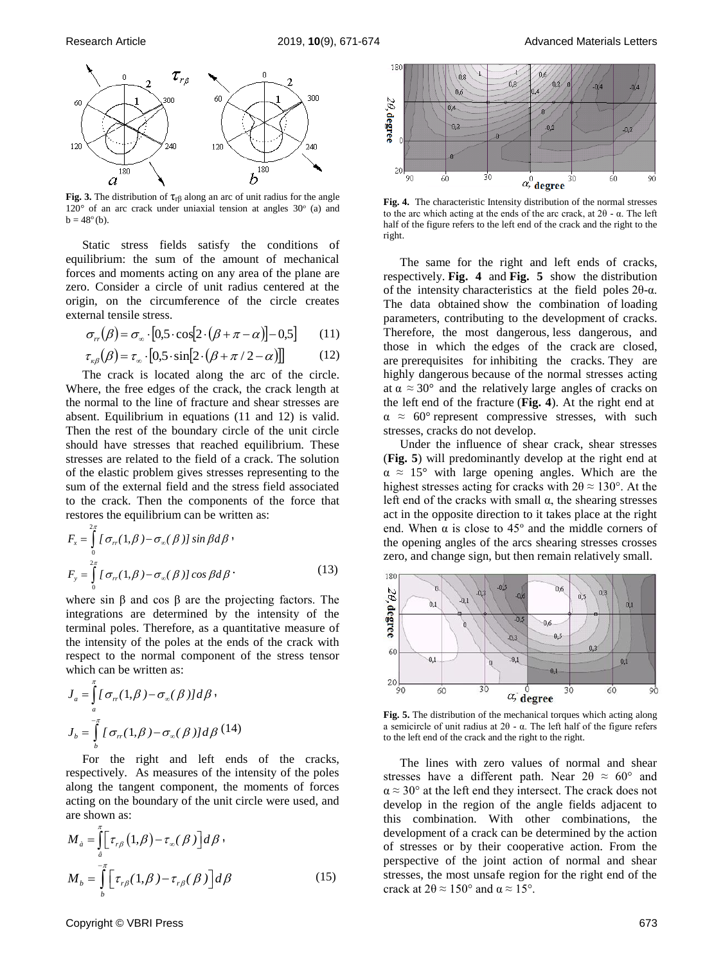

**Fig. 3.** The distribution of  $\tau_{\text{rf}}$  along an arc of unit radius for the angle  $120^{\circ}$  of an arc crack under uniaxial tension at angles  $30^{\circ}$  (a) and  $b = 48^{\circ}$  (b).

Static stress fields satisfy the conditions of equilibrium: the sum of the amount of mechanical forces and moments acting on any area of the plane are zero. Consider a circle of unit radius centered at the origin, on the circumference of the circle creates external tensile stress.

$$
\sigma_{rr}(\beta) = \sigma_{\infty} \cdot [0.5 \cdot \cos[2 \cdot (\beta + \pi - \alpha)] - 0.5] \tag{11}
$$

$$
\tau_{\kappa\beta}(\beta) = \tau_{\infty} \cdot [0.5 \cdot \sin[2 \cdot (\beta + \pi / 2 - \alpha)]] \tag{12}
$$

The crack is located along the arc of the circle. Where, the free edges of the crack, the crack length at the normal to the line of fracture and shear stresses are absent. Equilibrium in equations (11 and 12) is valid. Then the rest of the boundary circle of the unit circle should have stresses that reached equilibrium. These stresses are related to the field of a crack. The solution of the elastic problem gives stresses representing to the sum of the external field and the stress field associated to the crack. Then the components of the force that restores the equilibrium can be written as:

$$
F_x = \int_0^{2\pi} I \sigma_{rr}(1,\beta) - \sigma_{\infty}(\beta) J \sin \beta d\beta
$$
  
\n
$$
F_y = \int_0^{2\pi} I \sigma_{rr}(1,\beta) - \sigma_{\infty}(\beta) J \cos \beta d\beta
$$
 (13)

where sin  $\beta$  and cos  $\beta$  are the projecting factors. The integrations are determined by the intensity of the terminal poles. Therefore, as a quantitative measure of the intensity of the poles at the ends of the crack with respect to the normal component of the stress tensor which can be written as:

$$
J_a = \int_a^{\pi} \left[ \sigma_{rr}(1,\beta) - \sigma_{\infty}(\beta) \right] d\beta,
$$
  

$$
J_b = \int_b^{\pi} \left[ \sigma_{rr}(1,\beta) - \sigma_{\infty}(\beta) \right] d\beta \quad (14)
$$

π

For the right and left ends of the cracks, respectively. As measures of the intensity of the poles along the tangent component, the moments of forces acting on the boundary of the unit circle were used, and are shown as:

$$
M_{\dot{a}} = \int_{a}^{\pi} \left[ \tau_{r\beta} (1, \beta) - \tau_{\infty} (\beta) \right] d\beta,
$$
  

$$
M_{b} = \int_{b}^{-\pi} \left[ \tau_{r\beta} (1, \beta) - \tau_{r\beta} (\beta) \right] d\beta
$$
 (15)



**Fig. 4.** The characteristic Intensity distribution of the normal stresses to the arc which acting at the ends of the arc crack, at 2θ - α. The left half of the figure refers to the left end of the crack and the right to the right.

The same for the right and left ends of cracks, respectively. **Fig. 4** and **Fig. 5** show the distribution of the intensity characteristics at the field poles 2θ-α. The data obtained show the combination of loading parameters, contributing to the development of cracks. Therefore, the most dangerous, less dangerous, and those in which the edges of the crack are closed, are prerequisites for inhibiting the cracks. They are highly dangerous because of the normal stresses acting at  $\alpha \approx 30^{\circ}$  and the relatively large angles of cracks on the left end of the fracture (**Fig. 4**). At the right end at  $\alpha \approx 60^{\circ}$  represent compressive stresses, with such stresses, cracks do not develop.

Under the influence of shear crack, shear stresses (**Fig. 5**) will predominantly develop at the right end at  $\alpha \approx 15^{\circ}$  with large opening angles. Which are the highest stresses acting for cracks with  $2\theta \approx 130^\circ$ . At the left end of the cracks with small  $\alpha$ , the shearing stresses act in the opposite direction to it takes place at the right end. When  $\alpha$  is close to 45 $^{\circ}$  and the middle corners of the opening angles of the arcs shearing stresses crosses zero, and change sign, but then remain relatively small.



**Fig. 5.** The distribution of the mechanical torques which acting along a semicircle of unit radius at 2θ - α. The left half of the figure refers to the left end of the crack and the right to the right.

The lines with zero values of normal and shear stresses have a different path. Near  $2\theta \approx 60^{\circ}$  and  $\alpha \approx 30^{\circ}$  at the left end they intersect. The crack does not develop in the region of the angle fields adjacent to this combination. With other combinations, the development of a crack can be determined by the action of stresses or by their cooperative action. From the perspective of the joint action of normal and shear stresses, the most unsafe region for the right end of the crack at  $2\theta \approx 150^\circ$  and  $\alpha \approx 15^\circ$ .